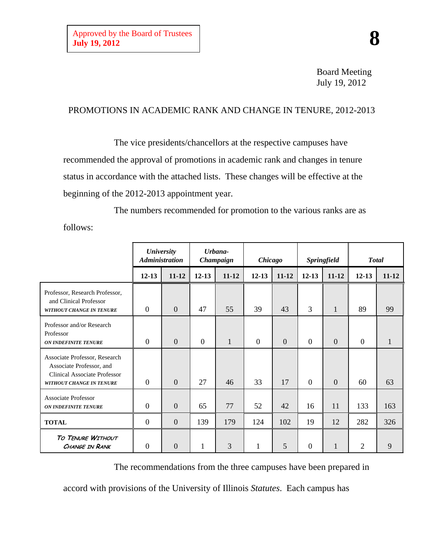Board Meeting July 19, 2012

## PROMOTIONS IN ACADEMIC RANK AND CHANGE IN TENURE, 2012-2013

The vice presidents/chancellors at the respective campuses have recommended the approval of promotions in academic rank and changes in tenure status in accordance with the attached lists. These changes will be effective at the beginning of the 2012-2013 appointment year.

The numbers recommended for promotion to the various ranks are as follows:

|                                                                                                                              | <b>University</b><br><b>Administration</b> |                | Urbana-<br>Champaign |              | <b>Chicago</b> |           | Springfield    |              | <b>Total</b>     |           |
|------------------------------------------------------------------------------------------------------------------------------|--------------------------------------------|----------------|----------------------|--------------|----------------|-----------|----------------|--------------|------------------|-----------|
|                                                                                                                              | $12 - 13$                                  | $11 - 12$      | $12 - 13$            | $11 - 12$    | $12 - 13$      | $11 - 12$ | $12 - 13$      | $11 - 12$    | $12 - 13$        | $11 - 12$ |
| Professor, Research Professor,<br>and Clinical Professor<br><b>WITHOUT CHANGE IN TENURE</b>                                  | $\overline{0}$                             | $\overline{0}$ | 47                   | 55           | 39             | 43        | 3              | $\mathbf{1}$ | 89               | 99        |
| Professor and/or Research<br>Professor<br><b>ON INDEFINITE TENURE</b>                                                        | $\boldsymbol{0}$                           | $\mathbf{0}$   | $\overline{0}$       | $\mathbf{1}$ | $\Omega$       | $\theta$  | $\theta$       | $\theta$     | $\boldsymbol{0}$ | 1         |
| Associate Professor, Research<br>Associate Professor, and<br><b>Clinical Associate Professor</b><br>WITHOUT CHANGE IN TENURE | $\overline{0}$                             | $\mathbf{0}$   | 27                   | 46           | 33             | 17        | $\theta$       | $\mathbf{0}$ | 60               | 63        |
| Associate Professor<br><b>ON INDEFINITE TENURE</b>                                                                           | $\mathbf{0}$                               | $\mathbf{0}$   | 65                   | 77           | 52             | 42        | 16             | 11           | 133              | 163       |
| <b>TOTAL</b>                                                                                                                 | $\boldsymbol{0}$                           | $\overline{0}$ | 139                  | 179          | 124            | 102       | 19             | 12           | 282              | 326       |
| TO TENURE WITHOUT<br><b>CHANGE IN RANK</b>                                                                                   | $\overline{0}$                             | $\theta$       | 1                    | 3            | 1              | 5         | $\overline{0}$ | $\mathbf{1}$ | $\overline{2}$   | 9         |

The recommendations from the three campuses have been prepared in

accord with provisions of the University of Illinois *Statutes*. Each campus has